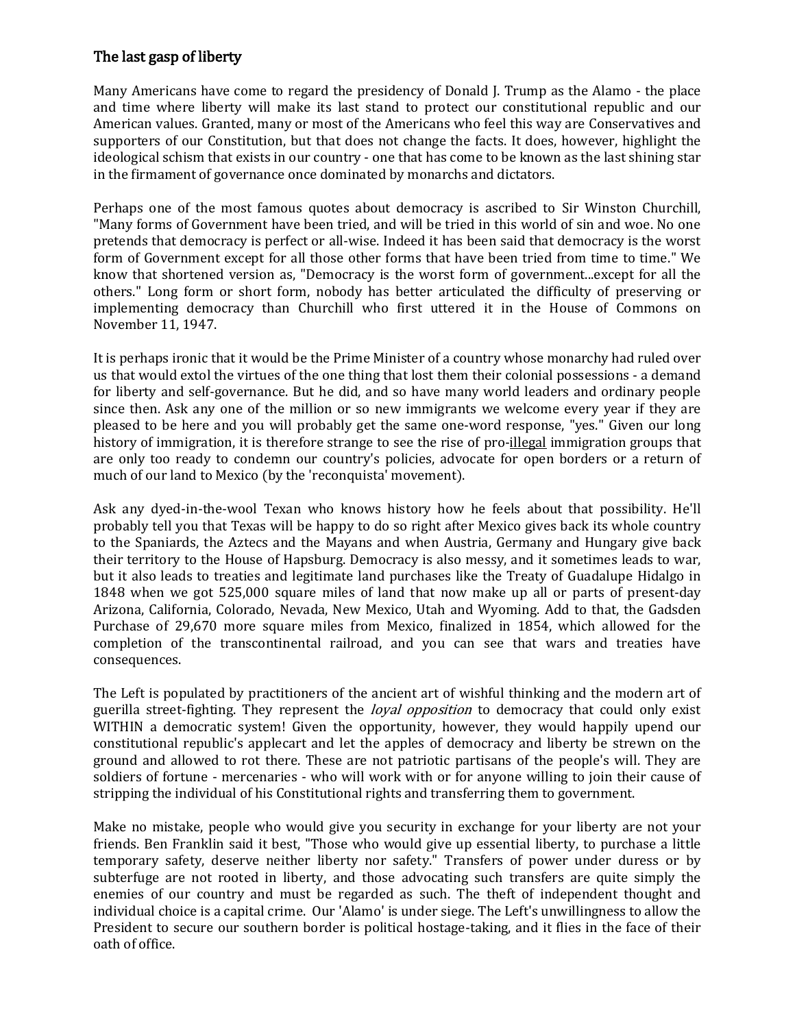## The last gasp of liberty

Many Americans have come to regard the presidency of Donald J. Trump as the Alamo - the place and time where liberty will make its last stand to protect our constitutional republic and our American values. Granted, many or most of the Americans who feel this way are Conservatives and supporters of our Constitution, but that does not change the facts. It does, however, highlight the ideological schism that exists in our country - one that has come to be known as the last shining star in the firmament of governance once dominated by monarchs and dictators.

Perhaps one of the most famous quotes about democracy is ascribed to Sir Winston Churchill, "Many forms of Government have been tried, and will be tried in this world of sin and woe. No one pretends that democracy is perfect or all-wise. Indeed it has been said that democracy is the worst form of Government except for all those other forms that have been tried from time to time." We know that shortened version as, "Democracy is the worst form of government...except for all the others." Long form or short form, nobody has better articulated the difficulty of preserving or implementing democracy than Churchill who first uttered it in the House of Commons on November 11, 1947.

It is perhaps ironic that it would be the Prime Minister of a country whose monarchy had ruled over us that would extol the virtues of the one thing that lost them their colonial possessions - a demand for liberty and self-governance. But he did, and so have many world leaders and ordinary people since then. Ask any one of the million or so new immigrants we welcome every year if they are pleased to be here and you will probably get the same one-word response, "yes." Given our long history of immigration, it is therefore strange to see the rise of pro-illegal immigration groups that are only too ready to condemn our country's policies, advocate for open borders or a return of much of our land to Mexico (by the 'reconquista' movement).

Ask any dyed-in-the-wool Texan who knows history how he feels about that possibility. He'll probably tell you that Texas will be happy to do so right after Mexico gives back its whole country to the Spaniards, the Aztecs and the Mayans and when Austria, Germany and Hungary give back their territory to the House of Hapsburg. Democracy is also messy, and it sometimes leads to war, but it also leads to treaties and legitimate land purchases like the Treaty of Guadalupe Hidalgo in 1848 when we got 525,000 square miles of land that now make up all or parts of present-day Arizona, California, Colorado, Nevada, New Mexico, Utah and Wyoming. Add to that, the Gadsden Purchase of 29,670 more square miles from Mexico, finalized in 1854, which allowed for the completion of the transcontinental railroad, and you can see that wars and treaties have consequences.

The Left is populated by practitioners of the ancient art of wishful thinking and the modern art of guerilla street-fighting. They represent the *loyal opposition* to democracy that could only exist WITHIN a democratic system! Given the opportunity, however, they would happily upend our constitutional republic's applecart and let the apples of democracy and liberty be strewn on the ground and allowed to rot there. These are not patriotic partisans of the people's will. They are soldiers of fortune - mercenaries - who will work with or for anyone willing to join their cause of stripping the individual of his Constitutional rights and transferring them to government.

Make no mistake, people who would give you security in exchange for your liberty are not your friends. Ben Franklin said it best, "Those who would give up essential liberty, to purchase a little temporary safety, deserve neither liberty nor safety." Transfers of power under duress or by subterfuge are not rooted in liberty, and those advocating such transfers are quite simply the enemies of our country and must be regarded as such. The theft of independent thought and individual choice is a capital crime. Our 'Alamo' is under siege. The Left's unwillingness to allow the President to secure our southern border is political hostage-taking, and it flies in the face of their oath of office.